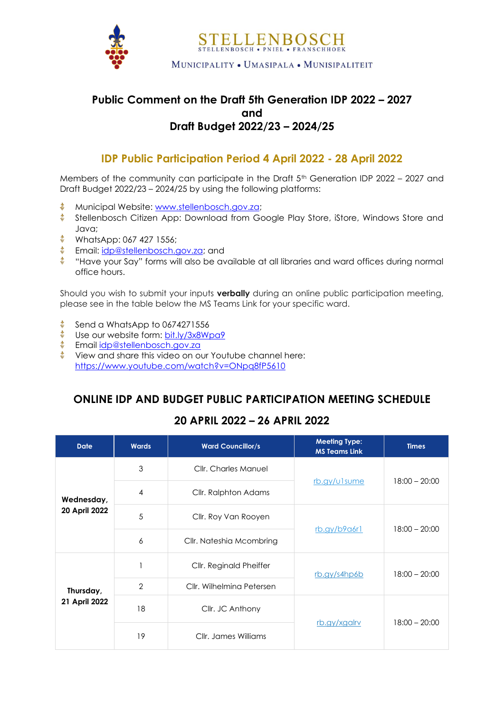

## **Public Comment on the Draft 5th Generation IDP 2022 – 2027 and Draft Budget 2022/23 – 2024/25**

## **IDP Public Participation Period 4 April 2022 - 28 April 2022**

Members of the community can participate in the Draft 5<sup>th</sup> Generation IDP 2022 - 2027 and Draft Budget 2022/23 – 2024/25 by using the following platforms:

- 壶 Municipal Website: [www.stellenbosch.gov.za;](http://www.stellenbosch.gov.za/)
- **Stellenbosch Citizen App: Download from Google Play Store, iStore, Windows Store and** Java;
- **WhatsApp: 067 427 1556;**
- **Email:** [idp@stellenbosch.gov.za;](mailto:idp@stellenbosch.gov.za) and
- 奮。 "Have your Say" forms will also be available at all libraries and ward offices during normal office hours.

Should you wish to submit your inputs **verbally** during an online public participation meeting, please see in the table below the MS Teams Link for your specific ward.

- 滥。 Send a WhatsApp to 0674271556
- Use our website form: [bit.ly/3x8Wpa9](https://protect-za.mimecast.com/s/Hq3SC1jpo3cMVkqJCX45DY?domain=bit.ly)
- $\frac{1}{2}$  Email [idp@stellenbosch.gov.za](mailto:idp@stellenbosch.gov.za)
- 滥。 View and share this video on our Youtube channel here: [https://www.youtube.com/watch?v=ONpq8fP5610](https://protect-za.mimecast.com/s/VvaACZ4GKrc5JDQKtKebVJ?domain=youtube.com)

## **ONLINE IDP AND BUDGET PUBLIC PARTICIPATION MEETING SCHEDULE**

## **20 APRIL 2022 – 26 APRIL 2022**

| <b>Date</b>                 | <b>Wards</b>   | <b>Ward Councillor/s</b>  | <b>Meeting Type:</b><br><b>MS Teams Link</b> | <b>Times</b>    |
|-----------------------------|----------------|---------------------------|----------------------------------------------|-----------------|
| Wednesday,<br>20 April 2022 | 3              | Cllr. Charles Manuel      | rb.gy/ulsume                                 | $18:00 - 20:00$ |
|                             | $\overline{4}$ | Cllr. Ralphton Adams      |                                              |                 |
|                             | 5              | Cllr. Roy Van Rooyen      | rb.gy/b9a6r1                                 | $18:00 - 20:00$ |
|                             | 6              | Cllr. Nateshia Mcombring  |                                              |                 |
| Thursday,<br>21 April 2022  |                | Cllr. Reginald Pheiffer   | rb.gy/s4hp6b                                 | $18:00 - 20:00$ |
|                             | $\overline{2}$ | Cllr. Wilhelming Petersen |                                              |                 |
|                             | 18             | Cllr. JC Anthony          | rb.gy/xgalrv                                 | $18:00 - 20:00$ |
|                             | 19             | Cllr. James Williams      |                                              |                 |